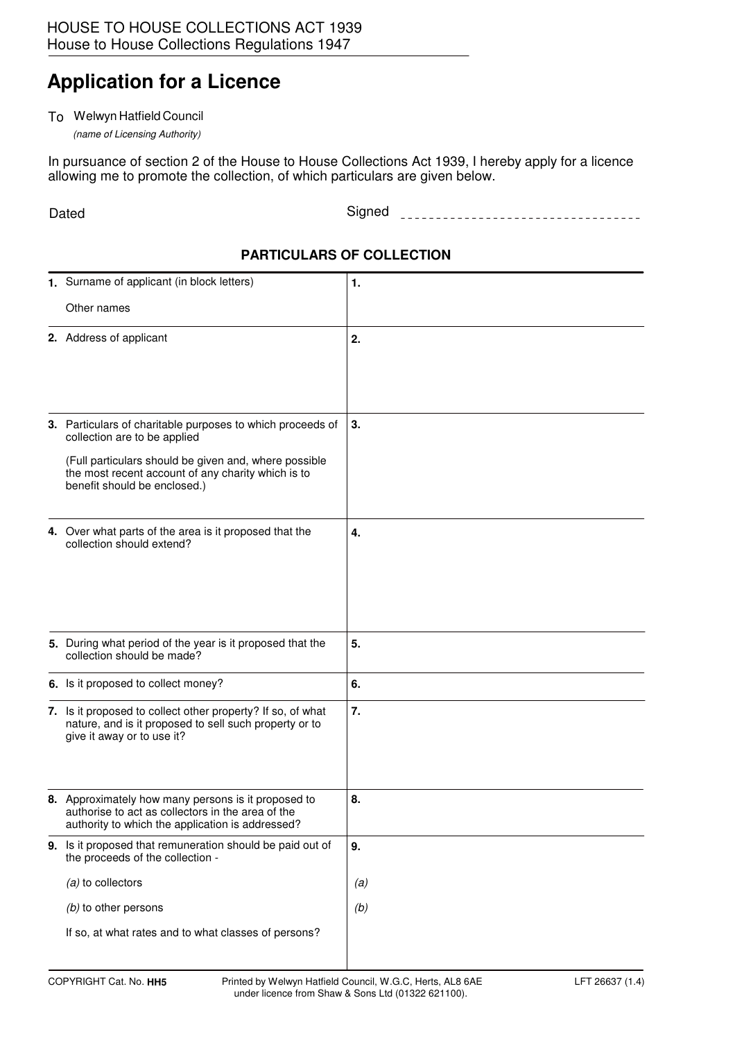## **Application for a Licence**

## To Welwyn Hatfield Council

(name of Licensing Authority)

In pursuance of section 2 of the House to House Collections Act 1939, I hereby apply for a licence allowing me to promote the collection, of which particulars are given below.

Dated **Example 2018** Signed **Signed Signed Signed Signed Signed Signed Signed Signed Signed Signed Signed Signed Signed Signed Signed Signed Signed Signed Signed Signed Signed Sign** 

## **PARTICULARS OF COLLECTION**

| 1. Surname of applicant (in block letters)                                                                                                                                                                                                | 1.  |
|-------------------------------------------------------------------------------------------------------------------------------------------------------------------------------------------------------------------------------------------|-----|
| Other names                                                                                                                                                                                                                               |     |
| 2. Address of applicant                                                                                                                                                                                                                   | 2.  |
| 3. Particulars of charitable purposes to which proceeds of<br>collection are to be applied<br>(Full particulars should be given and, where possible<br>the most recent account of any charity which is to<br>benefit should be enclosed.) | 3.  |
| 4. Over what parts of the area is it proposed that the<br>collection should extend?                                                                                                                                                       | 4.  |
| 5. During what period of the year is it proposed that the<br>collection should be made?                                                                                                                                                   | 5.  |
| 6. Is it proposed to collect money?                                                                                                                                                                                                       | 6.  |
| 7. Is it proposed to collect other property? If so, of what<br>nature, and is it proposed to sell such property or to<br>give it away or to use it?                                                                                       | 7.  |
| 8. Approximately how many persons is it proposed to<br>authorise to act as collectors in the area of the<br>authority to which the application is addressed?                                                                              | 8.  |
| 9. Is it proposed that remuneration should be paid out of<br>the proceeds of the collection -                                                                                                                                             | 9.  |
| $(a)$ to collectors                                                                                                                                                                                                                       | (a) |
| (b) to other persons                                                                                                                                                                                                                      | (b) |
| If so, at what rates and to what classes of persons?                                                                                                                                                                                      |     |